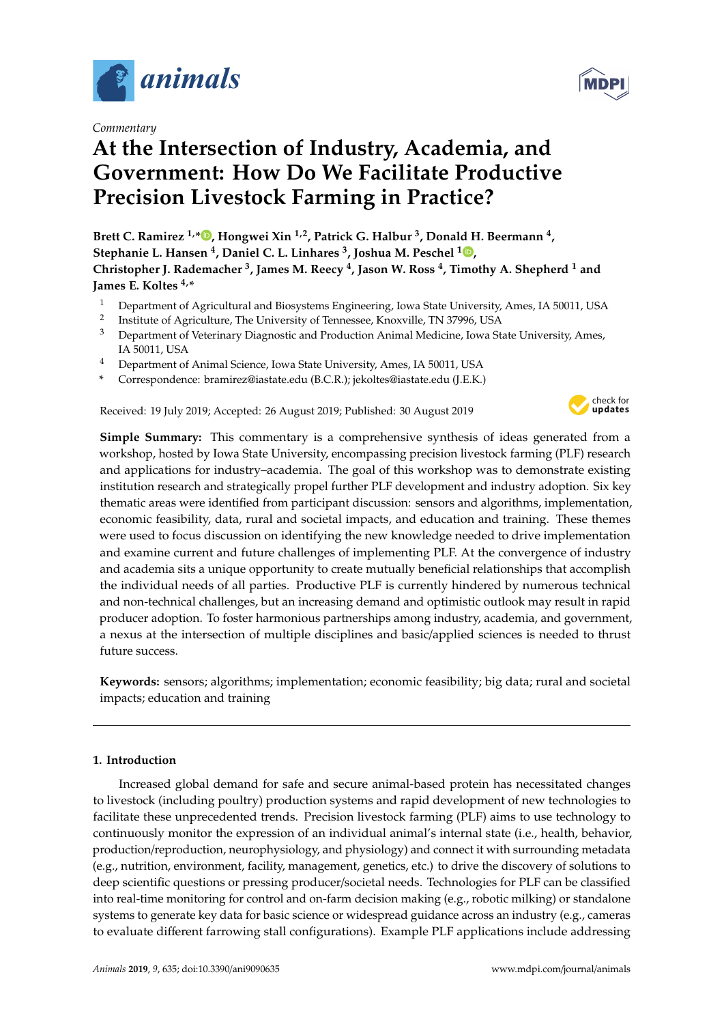

*Commentary*

# **At the Intersection of Industry, Academia, and Government: How Do We Facilitate Productive Precision Livestock Farming in Practice?**

**Brett C. Ramirez 1,[\\*](https://orcid.org/0000-0002-3205-9723) , Hongwei Xin 1,2, Patrick G. Halbur <sup>3</sup> , Donald H. Beermann <sup>4</sup> , Stephanie L. Hansen <sup>4</sup> , Daniel C. L. Linhares <sup>3</sup> , Joshua M. Peschel <sup>1</sup> [,](https://orcid.org/0000-0003-4576-2845) Christopher J. Rademacher <sup>3</sup> , James M. Reecy <sup>4</sup> , Jason W. Ross <sup>4</sup> , Timothy A. Shepherd <sup>1</sup> and James E. Koltes 4,\***

- <sup>1</sup> Department of Agricultural and Biosystems Engineering, Iowa State University, Ames, IA 50011, USA
- 2 Institute of Agriculture, The University of Tennessee, Knoxville, TN 37996, USA
- <sup>3</sup> Department of Veterinary Diagnostic and Production Animal Medicine, Iowa State University, Ames, IA 50011, USA
- <sup>4</sup> Department of Animal Science, Iowa State University, Ames, IA 50011, USA
- **\*** Correspondence: bramirez@iastate.edu (B.C.R.); jekoltes@iastate.edu (J.E.K.)

Received: 19 July 2019; Accepted: 26 August 2019; Published: 30 August 2019



**Simple Summary:** This commentary is a comprehensive synthesis of ideas generated from a workshop, hosted by Iowa State University, encompassing precision livestock farming (PLF) research and applications for industry–academia. The goal of this workshop was to demonstrate existing institution research and strategically propel further PLF development and industry adoption. Six key thematic areas were identified from participant discussion: sensors and algorithms, implementation, economic feasibility, data, rural and societal impacts, and education and training. These themes were used to focus discussion on identifying the new knowledge needed to drive implementation and examine current and future challenges of implementing PLF. At the convergence of industry and academia sits a unique opportunity to create mutually beneficial relationships that accomplish the individual needs of all parties. Productive PLF is currently hindered by numerous technical and non-technical challenges, but an increasing demand and optimistic outlook may result in rapid producer adoption. To foster harmonious partnerships among industry, academia, and government, a nexus at the intersection of multiple disciplines and basic/applied sciences is needed to thrust future success.

**Keywords:** sensors; algorithms; implementation; economic feasibility; big data; rural and societal impacts; education and training

#### **1. Introduction**

Increased global demand for safe and secure animal-based protein has necessitated changes to livestock (including poultry) production systems and rapid development of new technologies to facilitate these unprecedented trends. Precision livestock farming (PLF) aims to use technology to continuously monitor the expression of an individual animal's internal state (i.e., health, behavior, production/reproduction, neurophysiology, and physiology) and connect it with surrounding metadata (e.g., nutrition, environment, facility, management, genetics, etc.) to drive the discovery of solutions to deep scientific questions or pressing producer/societal needs. Technologies for PLF can be classified into real-time monitoring for control and on-farm decision making (e.g., robotic milking) or standalone systems to generate key data for basic science or widespread guidance across an industry (e.g., cameras to evaluate different farrowing stall configurations). Example PLF applications include addressing

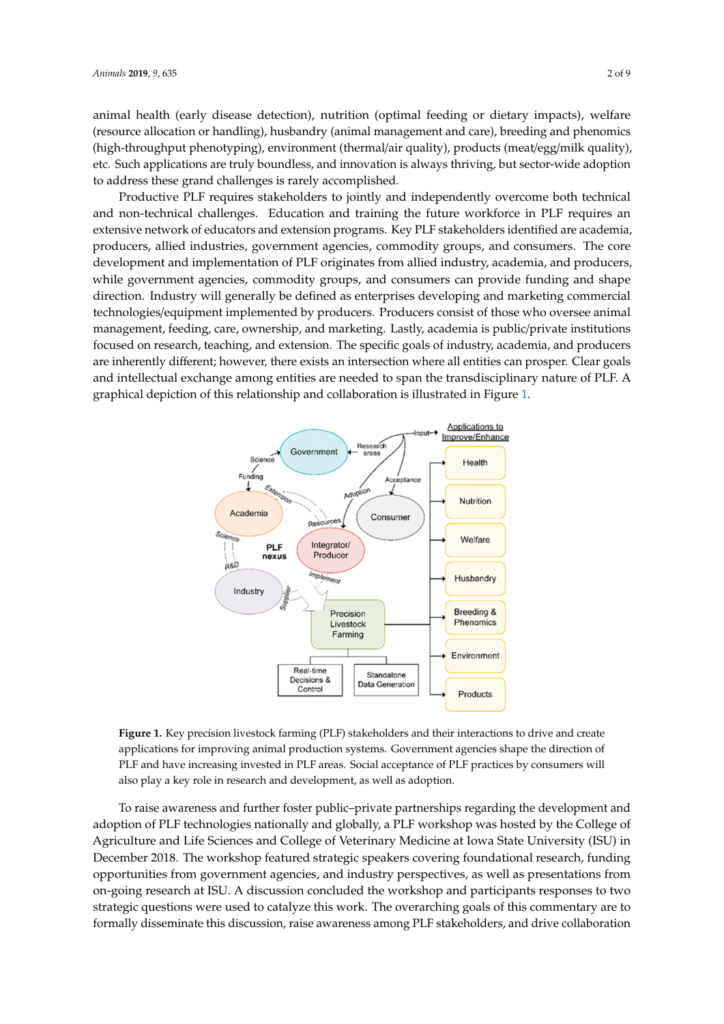animal health (early disease detection), nutrition (optimal feeding or dietary impacts), welfare (resource allocation or handling), husbandry (animal management and care), breeding and phenomics (high-throughput phenotyping), environment (thermal/air quality), products (meat/egg/milk quality), etc. Such applications are truly boundless, and innovation is always thriving, but sector-wide adoption to address these grand challenges is rarely accomplished.

Productive PLF requires stakeholders to jointly and independently overcome both technical and non-technical challenges. Education and training the future workforce in PLF requires an extensive network of educators and extension programs. Key PLF stakeholders identified are academia, producers, allied industries, government agencies, commodity groups, and consumers. The core .<br>development and implementation of PLF originates from allied industry, academia, and producers, while government agencies, commodity groups, and consumers can provide funding and shape direction. Industry will generally be defined as enterprises developing and marketing commercial technologies/equipment implemented by producers. Producers consist of those who oversee animal management, feeding, care, ownership, and marketing. Lastly, academia is public/private institutions focused on research, teaching, and extension. The specific goals of industry, academia, and producers are inherently different; however, there exists an intersection where all entities can prosper. Clear goals and intellectual exchange among entities are needed to span the transdisciplinary nature of PLF. A graphical depiction of this relationship and collaboration is illustrated in Figure [1.](#page-1-0)

<span id="page-1-0"></span>

**Figure 1.** Key precision livestock farming (PLF) stakeholders and their interactions to drive and create **Figure 1.** Key precision livestock farming (PLF) stakeholders and their interactions to drive and create applications for improving animal production systems. Government agencies shape the direction of applications for improving animal production systems. Government agencies shape the direction of PLF and have increasing invested in PLF areas. Social acceptance of PLF practices by consumers will PLF and have increasing invested in PLF areas. Social acceptance of PLF practices by consumers will also play a key role in research and development, as well as adoption. also play a key role in research and development, as well as adoption.

To raise awareness and further foster public–private partnerships regarding the development To raise awareness and further foster public–private partnerships regarding the development and and adoption of PLF technologies nationally and globally, a PLF workshop was hosted by the College adoption of PLF technologies nationally and globally, a PLF workshop was hosted by the College of of Agriculture and Life Sciences and College of Veterinary Medicine at Iowa State University (ISU) Agriculture and Life Sciences and College of Veterinary Medicine at Iowa State University (ISU) in in December 2018. The workshop featured strategic speakers covering foundational research, December 2018. The workshop featured strategic speakers covering foundational research, funding funding opportunities from government agencies, and industry perspectives, as well as presentations opportunities from government agencies, and industry perspectives, as well as presentations from on-going research at ISU. A discussion concluded the workshop and participants responses to two strategic questions were used to catalyze this work. The overarching goals of this commentary are to are to formally disseminate this discussion, raise awareness among PLF stakeholders, and drive formally disseminate this discussion, raise awareness among PLF stakeholders, and drive collaboration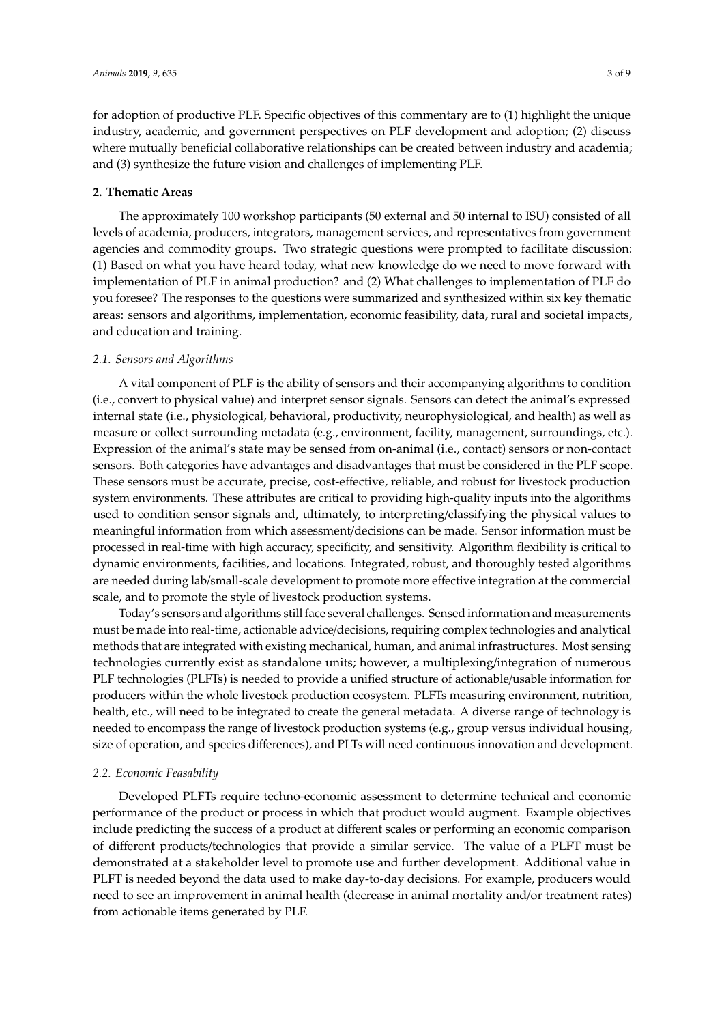for adoption of productive PLF. Specific objectives of this commentary are to (1) highlight the unique industry, academic, and government perspectives on PLF development and adoption; (2) discuss where mutually beneficial collaborative relationships can be created between industry and academia; and (3) synthesize the future vision and challenges of implementing PLF.

#### **2. Thematic Areas**

The approximately 100 workshop participants (50 external and 50 internal to ISU) consisted of all levels of academia, producers, integrators, management services, and representatives from government agencies and commodity groups. Two strategic questions were prompted to facilitate discussion: (1) Based on what you have heard today, what new knowledge do we need to move forward with implementation of PLF in animal production? and (2) What challenges to implementation of PLF do you foresee? The responses to the questions were summarized and synthesized within six key thematic areas: sensors and algorithms, implementation, economic feasibility, data, rural and societal impacts, and education and training.

#### *2.1. Sensors and Algorithms*

A vital component of PLF is the ability of sensors and their accompanying algorithms to condition (i.e., convert to physical value) and interpret sensor signals. Sensors can detect the animal's expressed internal state (i.e., physiological, behavioral, productivity, neurophysiological, and health) as well as measure or collect surrounding metadata (e.g., environment, facility, management, surroundings, etc.). Expression of the animal's state may be sensed from on-animal (i.e., contact) sensors or non-contact sensors. Both categories have advantages and disadvantages that must be considered in the PLF scope. These sensors must be accurate, precise, cost-effective, reliable, and robust for livestock production system environments. These attributes are critical to providing high-quality inputs into the algorithms used to condition sensor signals and, ultimately, to interpreting/classifying the physical values to meaningful information from which assessment/decisions can be made. Sensor information must be processed in real-time with high accuracy, specificity, and sensitivity. Algorithm flexibility is critical to dynamic environments, facilities, and locations. Integrated, robust, and thoroughly tested algorithms are needed during lab/small-scale development to promote more effective integration at the commercial scale, and to promote the style of livestock production systems.

Today's sensors and algorithms still face several challenges. Sensed information and measurements must be made into real-time, actionable advice/decisions, requiring complex technologies and analytical methods that are integrated with existing mechanical, human, and animal infrastructures. Most sensing technologies currently exist as standalone units; however, a multiplexing/integration of numerous PLF technologies (PLFTs) is needed to provide a unified structure of actionable/usable information for producers within the whole livestock production ecosystem. PLFTs measuring environment, nutrition, health, etc., will need to be integrated to create the general metadata. A diverse range of technology is needed to encompass the range of livestock production systems (e.g., group versus individual housing, size of operation, and species differences), and PLTs will need continuous innovation and development.

#### *2.2. Economic Feasability*

Developed PLFTs require techno-economic assessment to determine technical and economic performance of the product or process in which that product would augment. Example objectives include predicting the success of a product at different scales or performing an economic comparison of different products/technologies that provide a similar service. The value of a PLFT must be demonstrated at a stakeholder level to promote use and further development. Additional value in PLFT is needed beyond the data used to make day-to-day decisions. For example, producers would need to see an improvement in animal health (decrease in animal mortality and/or treatment rates) from actionable items generated by PLF.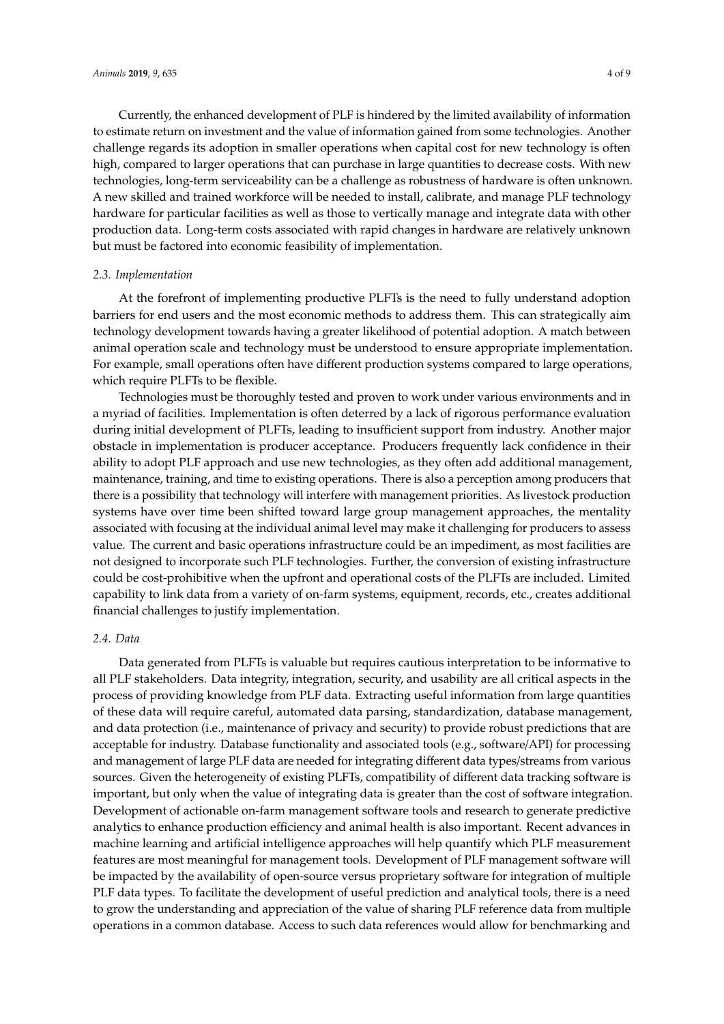Currently, the enhanced development of PLF is hindered by the limited availability of information to estimate return on investment and the value of information gained from some technologies. Another challenge regards its adoption in smaller operations when capital cost for new technology is often high, compared to larger operations that can purchase in large quantities to decrease costs. With new technologies, long-term serviceability can be a challenge as robustness of hardware is often unknown. A new skilled and trained workforce will be needed to install, calibrate, and manage PLF technology hardware for particular facilities as well as those to vertically manage and integrate data with other production data. Long-term costs associated with rapid changes in hardware are relatively unknown but must be factored into economic feasibility of implementation.

#### *2.3. Implementation*

At the forefront of implementing productive PLFTs is the need to fully understand adoption barriers for end users and the most economic methods to address them. This can strategically aim technology development towards having a greater likelihood of potential adoption. A match between animal operation scale and technology must be understood to ensure appropriate implementation. For example, small operations often have different production systems compared to large operations, which require PLFTs to be flexible.

Technologies must be thoroughly tested and proven to work under various environments and in a myriad of facilities. Implementation is often deterred by a lack of rigorous performance evaluation during initial development of PLFTs, leading to insufficient support from industry. Another major obstacle in implementation is producer acceptance. Producers frequently lack confidence in their ability to adopt PLF approach and use new technologies, as they often add additional management, maintenance, training, and time to existing operations. There is also a perception among producers that there is a possibility that technology will interfere with management priorities. As livestock production systems have over time been shifted toward large group management approaches, the mentality associated with focusing at the individual animal level may make it challenging for producers to assess value. The current and basic operations infrastructure could be an impediment, as most facilities are not designed to incorporate such PLF technologies. Further, the conversion of existing infrastructure could be cost-prohibitive when the upfront and operational costs of the PLFTs are included. Limited capability to link data from a variety of on-farm systems, equipment, records, etc., creates additional financial challenges to justify implementation.

#### *2.4. Data*

Data generated from PLFTs is valuable but requires cautious interpretation to be informative to all PLF stakeholders. Data integrity, integration, security, and usability are all critical aspects in the process of providing knowledge from PLF data. Extracting useful information from large quantities of these data will require careful, automated data parsing, standardization, database management, and data protection (i.e., maintenance of privacy and security) to provide robust predictions that are acceptable for industry. Database functionality and associated tools (e.g., software/API) for processing and management of large PLF data are needed for integrating different data types/streams from various sources. Given the heterogeneity of existing PLFTs, compatibility of different data tracking software is important, but only when the value of integrating data is greater than the cost of software integration. Development of actionable on-farm management software tools and research to generate predictive analytics to enhance production efficiency and animal health is also important. Recent advances in machine learning and artificial intelligence approaches will help quantify which PLF measurement features are most meaningful for management tools. Development of PLF management software will be impacted by the availability of open-source versus proprietary software for integration of multiple PLF data types. To facilitate the development of useful prediction and analytical tools, there is a need to grow the understanding and appreciation of the value of sharing PLF reference data from multiple operations in a common database. Access to such data references would allow for benchmarking and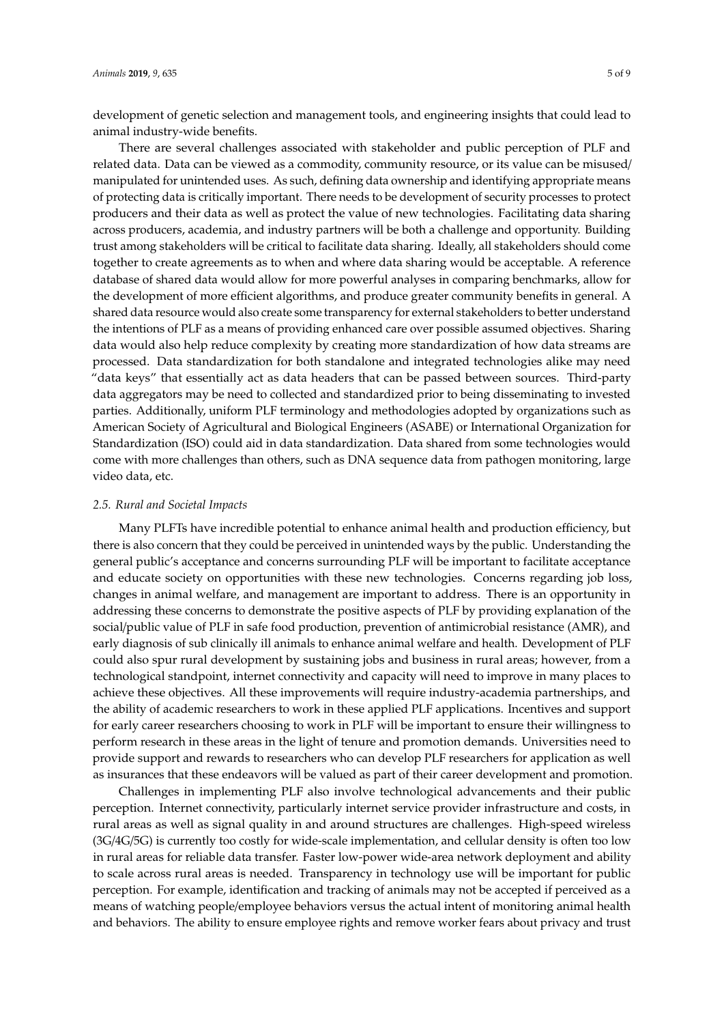development of genetic selection and management tools, and engineering insights that could lead to animal industry-wide benefits.

There are several challenges associated with stakeholder and public perception of PLF and related data. Data can be viewed as a commodity, community resource, or its value can be misused/ manipulated for unintended uses. As such, defining data ownership and identifying appropriate means of protecting data is critically important. There needs to be development of security processes to protect producers and their data as well as protect the value of new technologies. Facilitating data sharing across producers, academia, and industry partners will be both a challenge and opportunity. Building trust among stakeholders will be critical to facilitate data sharing. Ideally, all stakeholders should come together to create agreements as to when and where data sharing would be acceptable. A reference database of shared data would allow for more powerful analyses in comparing benchmarks, allow for the development of more efficient algorithms, and produce greater community benefits in general. A shared data resource would also create some transparency for external stakeholders to better understand the intentions of PLF as a means of providing enhanced care over possible assumed objectives. Sharing data would also help reduce complexity by creating more standardization of how data streams are processed. Data standardization for both standalone and integrated technologies alike may need "data keys" that essentially act as data headers that can be passed between sources. Third-party data aggregators may be need to collected and standardized prior to being disseminating to invested parties. Additionally, uniform PLF terminology and methodologies adopted by organizations such as American Society of Agricultural and Biological Engineers (ASABE) or International Organization for Standardization (ISO) could aid in data standardization. Data shared from some technologies would come with more challenges than others, such as DNA sequence data from pathogen monitoring, large video data, etc.

#### *2.5. Rural and Societal Impacts*

Many PLFTs have incredible potential to enhance animal health and production efficiency, but there is also concern that they could be perceived in unintended ways by the public. Understanding the general public's acceptance and concerns surrounding PLF will be important to facilitate acceptance and educate society on opportunities with these new technologies. Concerns regarding job loss, changes in animal welfare, and management are important to address. There is an opportunity in addressing these concerns to demonstrate the positive aspects of PLF by providing explanation of the social/public value of PLF in safe food production, prevention of antimicrobial resistance (AMR), and early diagnosis of sub clinically ill animals to enhance animal welfare and health. Development of PLF could also spur rural development by sustaining jobs and business in rural areas; however, from a technological standpoint, internet connectivity and capacity will need to improve in many places to achieve these objectives. All these improvements will require industry-academia partnerships, and the ability of academic researchers to work in these applied PLF applications. Incentives and support for early career researchers choosing to work in PLF will be important to ensure their willingness to perform research in these areas in the light of tenure and promotion demands. Universities need to provide support and rewards to researchers who can develop PLF researchers for application as well as insurances that these endeavors will be valued as part of their career development and promotion.

Challenges in implementing PLF also involve technological advancements and their public perception. Internet connectivity, particularly internet service provider infrastructure and costs, in rural areas as well as signal quality in and around structures are challenges. High-speed wireless (3G/4G/5G) is currently too costly for wide-scale implementation, and cellular density is often too low in rural areas for reliable data transfer. Faster low-power wide-area network deployment and ability to scale across rural areas is needed. Transparency in technology use will be important for public perception. For example, identification and tracking of animals may not be accepted if perceived as a means of watching people/employee behaviors versus the actual intent of monitoring animal health and behaviors. The ability to ensure employee rights and remove worker fears about privacy and trust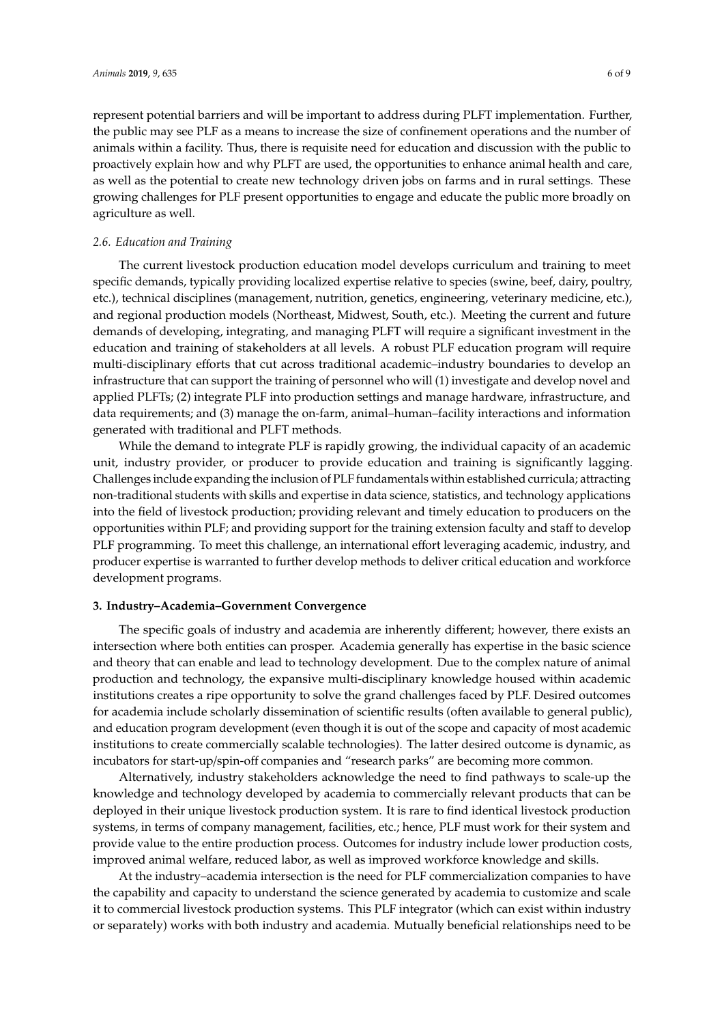represent potential barriers and will be important to address during PLFT implementation. Further, the public may see PLF as a means to increase the size of confinement operations and the number of animals within a facility. Thus, there is requisite need for education and discussion with the public to proactively explain how and why PLFT are used, the opportunities to enhance animal health and care, as well as the potential to create new technology driven jobs on farms and in rural settings. These growing challenges for PLF present opportunities to engage and educate the public more broadly on agriculture as well.

#### *2.6. Education and Training*

The current livestock production education model develops curriculum and training to meet specific demands, typically providing localized expertise relative to species (swine, beef, dairy, poultry, etc.), technical disciplines (management, nutrition, genetics, engineering, veterinary medicine, etc.), and regional production models (Northeast, Midwest, South, etc.). Meeting the current and future demands of developing, integrating, and managing PLFT will require a significant investment in the education and training of stakeholders at all levels. A robust PLF education program will require multi-disciplinary efforts that cut across traditional academic–industry boundaries to develop an infrastructure that can support the training of personnel who will (1) investigate and develop novel and applied PLFTs; (2) integrate PLF into production settings and manage hardware, infrastructure, and data requirements; and (3) manage the on-farm, animal–human–facility interactions and information generated with traditional and PLFT methods.

While the demand to integrate PLF is rapidly growing, the individual capacity of an academic unit, industry provider, or producer to provide education and training is significantly lagging. Challenges include expanding the inclusion of PLF fundamentals within established curricula; attracting non-traditional students with skills and expertise in data science, statistics, and technology applications into the field of livestock production; providing relevant and timely education to producers on the opportunities within PLF; and providing support for the training extension faculty and staff to develop PLF programming. To meet this challenge, an international effort leveraging academic, industry, and producer expertise is warranted to further develop methods to deliver critical education and workforce development programs.

#### **3. Industry–Academia–Government Convergence**

The specific goals of industry and academia are inherently different; however, there exists an intersection where both entities can prosper. Academia generally has expertise in the basic science and theory that can enable and lead to technology development. Due to the complex nature of animal production and technology, the expansive multi-disciplinary knowledge housed within academic institutions creates a ripe opportunity to solve the grand challenges faced by PLF. Desired outcomes for academia include scholarly dissemination of scientific results (often available to general public), and education program development (even though it is out of the scope and capacity of most academic institutions to create commercially scalable technologies). The latter desired outcome is dynamic, as incubators for start-up/spin-off companies and "research parks" are becoming more common.

Alternatively, industry stakeholders acknowledge the need to find pathways to scale-up the knowledge and technology developed by academia to commercially relevant products that can be deployed in their unique livestock production system. It is rare to find identical livestock production systems, in terms of company management, facilities, etc.; hence, PLF must work for their system and provide value to the entire production process. Outcomes for industry include lower production costs, improved animal welfare, reduced labor, as well as improved workforce knowledge and skills.

At the industry–academia intersection is the need for PLF commercialization companies to have the capability and capacity to understand the science generated by academia to customize and scale it to commercial livestock production systems. This PLF integrator (which can exist within industry or separately) works with both industry and academia. Mutually beneficial relationships need to be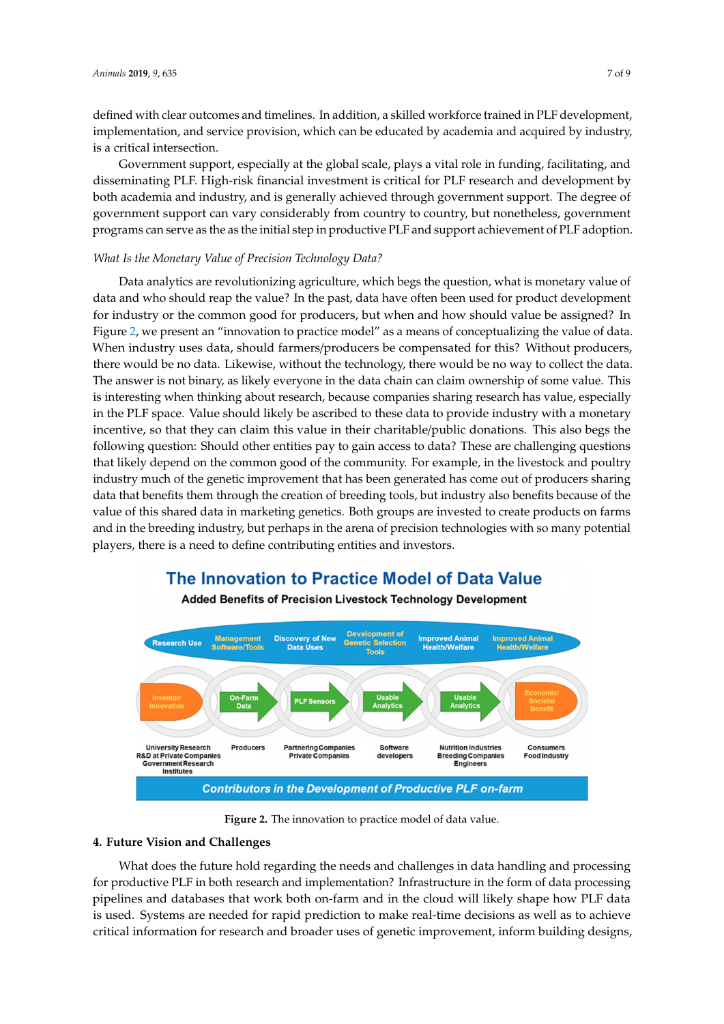defined with clear outcomes and timelines. In addition, a skilled workforce trained in PLF development, implementation, and service provision, which can be educated by academia and acquired by industry, is a critical intersection.

Government support, especially at the global scale, plays a vital role in funding, facilitating, and disseminating PLF. High-risk financial investment is critical for PLF research and development by both academia and industry, and is generally achieved through government support. The degree of government support can vary considerably from country to country, but nonetheless, government *Animals* **2019**, *9*, x 7 of 9 programs can serve as the as the initial step in productive PLF and support achievement of PLF adoption.

## What Is the Monetary Value of Precision Technology Data?<br>

Data analytics are revolutionizing agriculture, which begs the question, what is monetary value of data and who should reap the value? In the past, data have often been used for product development for industry or the common good for producers, but when and how should value be assigned? In Figure 2, we present an "innovation to practice model" as a means of conceptualizing the va[lu](#page-6-0)e of data. When industry uses data, should farmers/producers be compensated for this? Without producers, there would be no data. Likewise, without the technology, there would be no way to collect the data. The answer is not binary, as likely everyone in the data chain can claim ownership of some value. This is interesting when thinking about research, because companies sharing research has value, especially in the PLF space. Value should likely be ascribed to these data to provide industry with a monetary incentive, so that they can claim this value in their charitable/public donations. This also begs the following question: Should other entities pay to gain access to data? These are challenging questions that likely depend on the common good of the community. For example, in the livestock and poultry industry much of the genetic improvement that has been generated has come out of producers sharing data that benefits them through the creation of breeding tools, but industry also benefits because of the value of this shared data in marketing genetics. Both groups are invested to create products on farms and in the breeding industry, but perhaps in the arena of precision technologies with so many potential players, there is a need to define contributing entities and investors.

## The Innovation to Practice Model of Data Value

Added Benefits of Precision Livestock Technology Development

<span id="page-6-0"></span>

**Figure 2.** The innovation to practice model of data value.

### **Figure 2.** The innovation to practice model of data value. **4. Future Vision and Challenges**

What does the future hold regarding the needs and challenges in data handling and processing pipelines and databases that work both on-farm and in the cloud will likely shape how PLF data in 1<br>is used. Systems are needed for rapid prediction to make real-time decisions as well as to achieve critical information for research and broader uses of genetic improvement, inform building designs,  $\begin{array}{ccc} \circ & \circ & \circ \\ \circ & \circ & \circ \end{array}$ for productive PLF in both research and implementation? Infrastructure in the form of data processing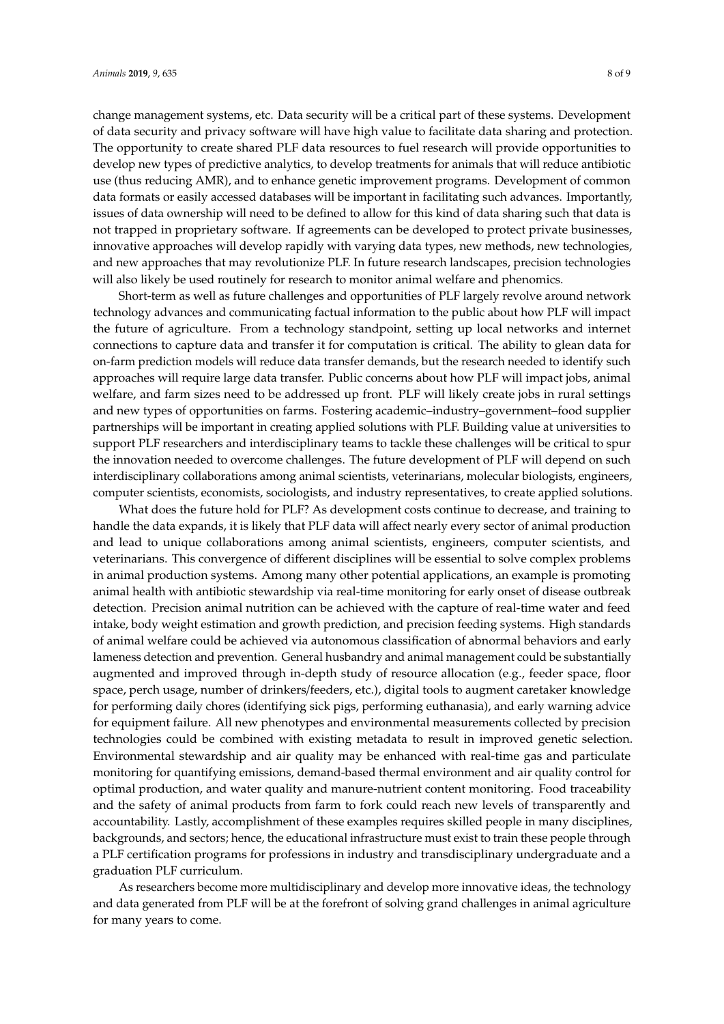change management systems, etc. Data security will be a critical part of these systems. Development of data security and privacy software will have high value to facilitate data sharing and protection. The opportunity to create shared PLF data resources to fuel research will provide opportunities to develop new types of predictive analytics, to develop treatments for animals that will reduce antibiotic use (thus reducing AMR), and to enhance genetic improvement programs. Development of common data formats or easily accessed databases will be important in facilitating such advances. Importantly, issues of data ownership will need to be defined to allow for this kind of data sharing such that data is not trapped in proprietary software. If agreements can be developed to protect private businesses, innovative approaches will develop rapidly with varying data types, new methods, new technologies, and new approaches that may revolutionize PLF. In future research landscapes, precision technologies will also likely be used routinely for research to monitor animal welfare and phenomics.

Short-term as well as future challenges and opportunities of PLF largely revolve around network technology advances and communicating factual information to the public about how PLF will impact the future of agriculture. From a technology standpoint, setting up local networks and internet connections to capture data and transfer it for computation is critical. The ability to glean data for on-farm prediction models will reduce data transfer demands, but the research needed to identify such approaches will require large data transfer. Public concerns about how PLF will impact jobs, animal welfare, and farm sizes need to be addressed up front. PLF will likely create jobs in rural settings and new types of opportunities on farms. Fostering academic–industry–government–food supplier partnerships will be important in creating applied solutions with PLF. Building value at universities to support PLF researchers and interdisciplinary teams to tackle these challenges will be critical to spur the innovation needed to overcome challenges. The future development of PLF will depend on such interdisciplinary collaborations among animal scientists, veterinarians, molecular biologists, engineers, computer scientists, economists, sociologists, and industry representatives, to create applied solutions.

What does the future hold for PLF? As development costs continue to decrease, and training to handle the data expands, it is likely that PLF data will affect nearly every sector of animal production and lead to unique collaborations among animal scientists, engineers, computer scientists, and veterinarians. This convergence of different disciplines will be essential to solve complex problems in animal production systems. Among many other potential applications, an example is promoting animal health with antibiotic stewardship via real-time monitoring for early onset of disease outbreak detection. Precision animal nutrition can be achieved with the capture of real-time water and feed intake, body weight estimation and growth prediction, and precision feeding systems. High standards of animal welfare could be achieved via autonomous classification of abnormal behaviors and early lameness detection and prevention. General husbandry and animal management could be substantially augmented and improved through in-depth study of resource allocation (e.g., feeder space, floor space, perch usage, number of drinkers/feeders, etc.), digital tools to augment caretaker knowledge for performing daily chores (identifying sick pigs, performing euthanasia), and early warning advice for equipment failure. All new phenotypes and environmental measurements collected by precision technologies could be combined with existing metadata to result in improved genetic selection. Environmental stewardship and air quality may be enhanced with real-time gas and particulate monitoring for quantifying emissions, demand-based thermal environment and air quality control for optimal production, and water quality and manure-nutrient content monitoring. Food traceability and the safety of animal products from farm to fork could reach new levels of transparently and accountability. Lastly, accomplishment of these examples requires skilled people in many disciplines, backgrounds, and sectors; hence, the educational infrastructure must exist to train these people through a PLF certification programs for professions in industry and transdisciplinary undergraduate and a graduation PLF curriculum.

As researchers become more multidisciplinary and develop more innovative ideas, the technology and data generated from PLF will be at the forefront of solving grand challenges in animal agriculture for many years to come.